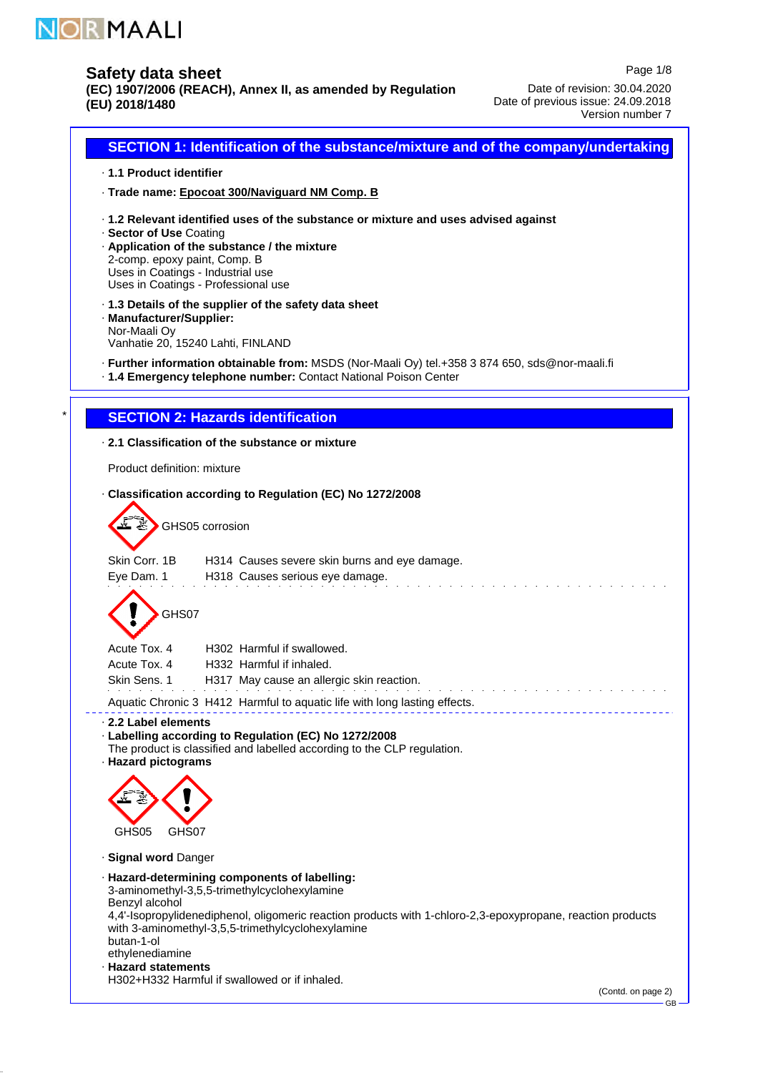

# **Safety data sheet**

**(EC) 1907/2006 (REACH), Annex II, as amended by Regulation (EU) 2018/1480**

Page 1/8 Date of revision: 30.04.2020 Date of previous issue: 24.09.2018 Version number 7

**SECTION 1: Identification of the substance/mixture and of the company/undertaking 1.1 Product identifier** · **Trade name: Epocoat 300/Naviguard NM Comp. B** · **1.2 Relevant identified uses of the substance or mixture and uses advised against** · **Sector of Use** · Coating **Application of the substance / the mixture** · 2-comp. epoxy paint, Comp. B Uses in Coatings - Industrial use Uses in Coatings - Professional use **1.3 Details of the supplier of the safety data sheet** · **Manufacturer/Supplier:** · Nor-Maali Oy Vanhatie 20, 15240 Lahti, FINLAND **Further information obtainable from:** · MSDS (Nor-Maali Oy) tel.+358 3 874 650, sds@nor-maali.fi **1.4 Emergency telephone number:** · Contact National Poison Center **SECTION 2: Hazards identification 2.1 Classification of the substance or mixture** · Product definition: mixture **Classification according to Regulation (EC) No 1272/2008** · GHS05 corrosion Skin Corr. 1B H314 Causes severe skin burns and eye damage. Eye Dam. 1 H318 Causes serious eye damage. GHS07 Acute Tox. 4 H302 Harmful if swallowed. Acute Tox. 4 H332 Harmful if inhaled. Skin Sens. 1 H317 May cause an allergic skin reaction. and the state of the state of the Aquatic Chronic 3 H412 Harmful to aquatic life with long lasting effects. **2.2 Label elements** · **Labelling according to Regulation (EC) No 1272/2008** · The product is classified and labelled according to the CLP regulation. **Hazard pictograms** · GHS05 GHS07 **Signal word** · Danger **Hazard-determining components of labelling:** · 3-aminomethyl-3,5,5-trimethylcyclohexylamine Benzyl alcohol 4,4'-Isopropylidenediphenol, oligomeric reaction products with 1-chloro-2,3-epoxypropane, reaction products with 3-aminomethyl-3,5,5-trimethylcyclohexylamine butan-1-ol ethylenediamine **Hazard statements** ·

H302+H332 Harmful if swallowed or if inhaled.

(Contd. on page 2)

GB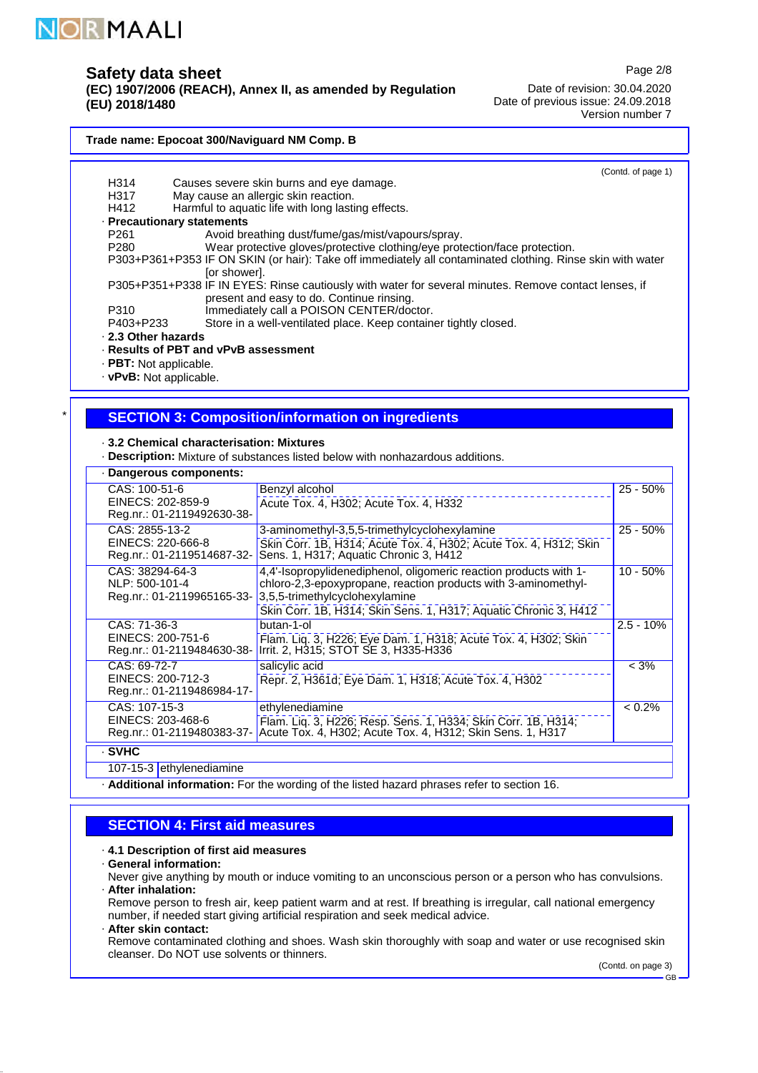

## **Safety data sheet**

**(EC) 1907/2006 (REACH), Annex II, as amended by Regulation (EU) 2018/1480**

Page 2/8

Date of revision: 30.04.2020 Date of previous issue: 24.09.2018 Version number 7

#### **Trade name: Epocoat 300/Naviguard NM Comp. B**

**Precautionary statements** · **2.3 Other hazards** · **Results of PBT and vPvB assessment** · · PBT: Not applicable. · vPvB: Not applicable. (Contd. of page 1) H314 Causes severe skin burns and eye damage. H317 May cause an allergic skin reaction.<br>H412 Harmful to aquatic life with long lasti Harmful to aquatic life with long lasting effects. P261 Avoid breathing dust/fume/gas/mist/vapours/spray.<br>P280 Wear protective gloves/protective clothing/eve prot Wear protective gloves/protective clothing/eye protection/face protection. P303+P361+P353 IF ON SKIN (or hair): Take off immediately all contaminated clothing. Rinse skin with water [or shower]. P305+P351+P338 IF IN EYES: Rinse cautiously with water for several minutes. Remove contact lenses, if present and easy to do. Continue rinsing. P310 Immediately call a POISON CENTER/doctor.<br>P403+P233 Store in a well-ventilated place. Keep contain Store in a well-ventilated place. Keep container tightly closed.

## **SECTION 3: Composition/information on ingredients**

- **3.2 Chemical characterisation: Mixtures** ·
- **Description:** · Mixture of substances listed below with nonhazardous additions.

| Dangerous components:                                             |                                                                                                                                                                                                                                           |             |
|-------------------------------------------------------------------|-------------------------------------------------------------------------------------------------------------------------------------------------------------------------------------------------------------------------------------------|-------------|
| CAS: 100-51-6<br>EINECS: 202-859-9<br>Reg.nr.: 01-2119492630-38-  | Benzyl alcohol<br>Acute Tox. 4, H302; Acute Tox. 4, H332                                                                                                                                                                                  | $25 - 50%$  |
| CAS: 2855-13-2<br>EINECS: 220-666-8<br>Reg.nr.: 01-2119514687-32- | 3-aminomethyl-3,5,5-trimethylcyclohexylamine<br>Skin Corr. 1B, H314; Acute Tox. 4, H302; Acute Tox. 4, H312; Skin<br>Sens. 1, H317; Aquatic Chronic 3, H412                                                                               | $25 - 50%$  |
| CAS: 38294-64-3<br>NLP: 500-101-4<br>Reg.nr.: 01-2119965165-33-   | 4,4'-Isopropylidenediphenol, oligomeric reaction products with 1-<br>chloro-2,3-epoxypropane, reaction products with 3-aminomethyl-<br>3,5,5-trimethylcyclohexylamine<br>Skin Corr. 1B, H314; Skin Sens. 1, H317; Aquatic Chronic 3, H412 | $10 - 50%$  |
| CAS: 71-36-3<br>EINECS: 200-751-6<br>Reg.nr.: 01-2119484630-38-   | butan-1-ol<br>Flam. Liq. 3, H226; Eye Dam. 1, H318; Acute Tox. 4, H302; Skin Irrit. 2, H315; STOT SE 3, H335-H336                                                                                                                         | $2.5 - 10%$ |
| CAS: 69-72-7<br>EINECS: 200-712-3<br>Reg.nr.: 01-2119486984-17-   | salicylic acid<br>Repr. 2, H361d; Eye Dam. 1, H318; Acute Tox. 4, H302                                                                                                                                                                    | $< 3\%$     |
| CAS: 107-15-3<br>EINECS: 203-468-6<br>Reg.nr.: 01-2119480383-37-  | ethylenediamine<br>Flam. Liq. 3, H226; Resp. Sens. 1, H334; Skin Corr. 1B, H314;<br>Acute Tox. 4, H302; Acute Tox. 4, H312; Skin Sens. 1, H317                                                                                            | $< 0.2\%$   |
| · SVHC                                                            |                                                                                                                                                                                                                                           |             |

107-15-3 ethylenediamine

**Additional information:** For the wording of the listed hazard phrases refer to section 16.

### **SECTION 4: First aid measures**

#### **4.1 Description of first aid measures** ·

**General information:** ·

**After inhalation:** · Never give anything by mouth or induce vomiting to an unconscious person or a person who has convulsions.

Remove person to fresh air, keep patient warm and at rest. If breathing is irregular, call national emergency number, if needed start giving artificial respiration and seek medical advice.

**After skin contact:** ·

Remove contaminated clothing and shoes. Wash skin thoroughly with soap and water or use recognised skin cleanser. Do NOT use solvents or thinners.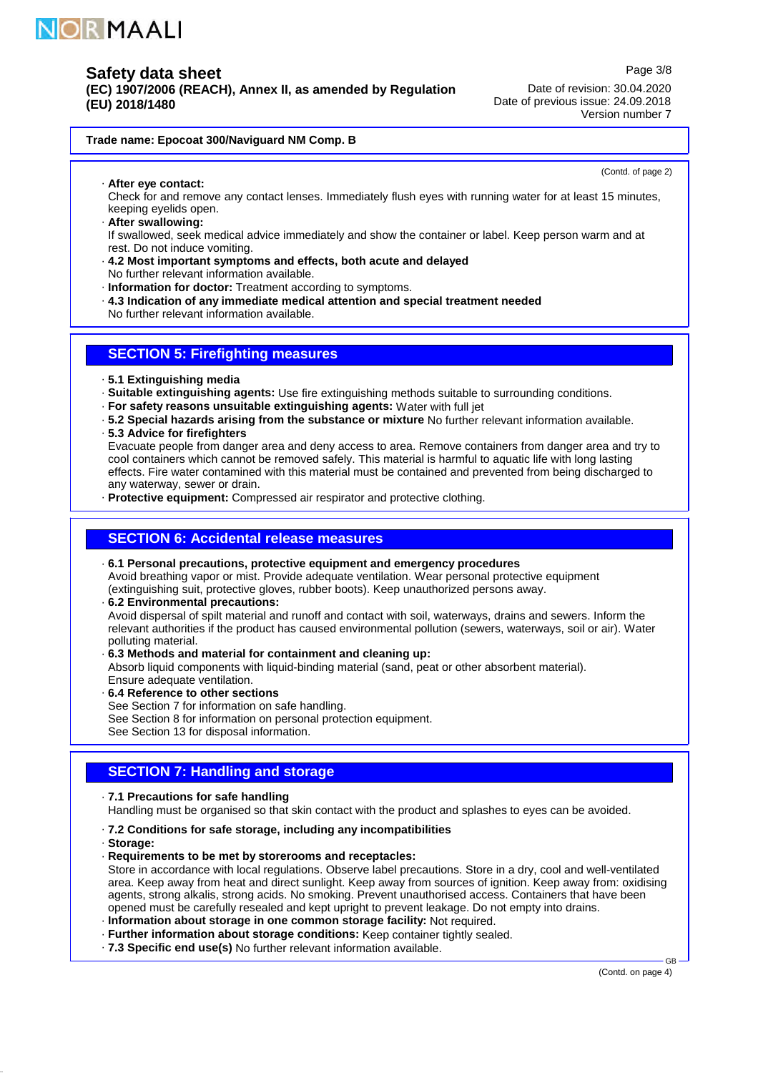

**(EC) 1907/2006 (REACH), Annex II, as amended by Regulation (EU) 2018/1480**

Page 3/8 Date of revision: 30.04.2020 Date of previous issue: 24.09.2018 Version number 7

#### **Trade name: Epocoat 300/Naviguard NM Comp. B**

(Contd. of page 2)

**After eye contact:** ·

Check for and remove any contact lenses. Immediately flush eyes with running water for at least 15 minutes, keeping eyelids open.

**After swallowing:** ·

If swallowed, seek medical advice immediately and show the container or label. Keep person warm and at rest. Do not induce vomiting.

- **4.2 Most important symptoms and effects, both acute and delayed** · No further relevant information available.
- **Information for doctor:** · Treatment according to symptoms.
- **4.3 Indication of any immediate medical attention and special treatment needed** ·
- No further relevant information available.

## **SECTION 5: Firefighting measures**

- **5.1 Extinguishing media** ·
- · Suitable extinguishing agents: Use fire extinguishing methods suitable to surrounding conditions.
- **For safety reasons unsuitable extinguishing agents:** · Water with full jet
- **5.2 Special hazards arising from the substance or mixture** · No further relevant information available.
- **5.3 Advice for firefighters** ·

Evacuate people from danger area and deny access to area. Remove containers from danger area and try to cool containers which cannot be removed safely. This material is harmful to aquatic life with long lasting effects. Fire water contamined with this material must be contained and prevented from being discharged to any waterway, sewer or drain.

**Protective equipment:** · Compressed air respirator and protective clothing.

## **SECTION 6: Accidental release measures**

### **6.1 Personal precautions, protective equipment and emergency procedures** ·

Avoid breathing vapor or mist. Provide adequate ventilation. Wear personal protective equipment (extinguishing suit, protective gloves, rubber boots). Keep unauthorized persons away.

- **6.2 Environmental precautions:** · Avoid dispersal of spilt material and runoff and contact with soil, waterways, drains and sewers. Inform the relevant authorities if the product has caused environmental pollution (sewers, waterways, soil or air). Water polluting material.
- **6.3 Methods and material for containment and cleaning up:** ·

Absorb liquid components with liquid-binding material (sand, peat or other absorbent material). Ensure adequate ventilation.

- **6.4 Reference to other sections** ·
- See Section 7 for information on safe handling.
- See Section 8 for information on personal protection equipment.

See Section 13 for disposal information.

## **SECTION 7: Handling and storage**

**7.1 Precautions for safe handling** ·

Handling must be organised so that skin contact with the product and splashes to eyes can be avoided.

- **7.2 Conditions for safe storage, including any incompatibilities** ·
- **Storage:** ·
- **Requirements to be met by storerooms and receptacles:** ·

Store in accordance with local regulations. Observe label precautions. Store in a dry, cool and well-ventilated area. Keep away from heat and direct sunlight. Keep away from sources of ignition. Keep away from: oxidising agents, strong alkalis, strong acids. No smoking. Prevent unauthorised access. Containers that have been opened must be carefully resealed and kept upright to prevent leakage. Do not empty into drains.

**Information about storage in one common storage facility:** · Not required.

- **Further information about storage conditions:** · Keep container tightly sealed.
- **7.3 Specific end use(s)** · No further relevant information available.

(Contd. on page 4)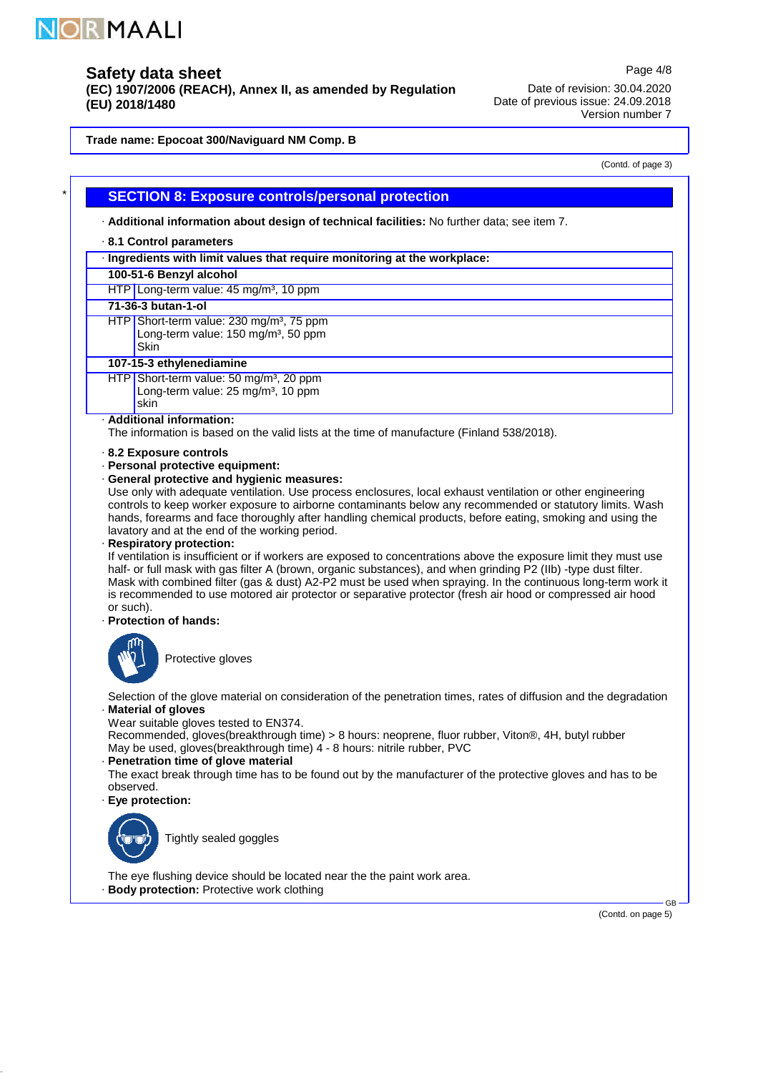

# **Safety data sheet**

**(EC) 1907/2006 (REACH), Annex II, as amended by Regulation (EU) 2018/1480**

Date of revision: 30.04.2020 Date of previous issue: 24.09.2018 Version number 7

**Trade name: Epocoat 300/Naviguard NM Comp. B**

(Contd. of page 3)

Page 4/8

## **SECTION 8: Exposure controls/personal protection**

**Additional information about design of technical facilities:** · No further data; see item 7.

#### **8.1 Control parameters** ·

**Ingredients with limit values that require monitoring at the workplace:** ·

# **100-51-6 Benzyl alcohol**

HTP Long-term value: 45 mg/m<sup>3</sup>, 10 ppm

### **71-36-3 butan-1-ol**

HTP Short-term value: 230 mg/m<sup>3</sup>, 75 ppm Long-term value: 150 mg/m<sup>3</sup>, 50 ppm

# **Skin**

**107-15-3 ethylenediamine**

HTP Short-term value: 50 mg/m<sup>3</sup>, 20 ppm Long-term value:  $25 \text{ mg/m}^3$ , 10 ppm skin

### **Additional information:** ·

The information is based on the valid lists at the time of manufacture (Finland 538/2018).

#### **8.2 Exposure controls** ·

**Personal protective equipment:** ·

### **General protective and hygienic measures:** ·

Use only with adequate ventilation. Use process enclosures, local exhaust ventilation or other engineering controls to keep worker exposure to airborne contaminants below any recommended or statutory limits. Wash hands, forearms and face thoroughly after handling chemical products, before eating, smoking and using the lavatory and at the end of the working period.

**Respiratory protection:** ·

If ventilation is insufficient or if workers are exposed to concentrations above the exposure limit they must use half- or full mask with gas filter A (brown, organic substances), and when grinding P2 (IIb) -type dust filter. Mask with combined filter (gas & dust) A2-P2 must be used when spraying. In the continuous long-term work it is recommended to use motored air protector or separative protector (fresh air hood or compressed air hood or such).

### **Protection of hands:** ·



Protective gloves

**Material of gloves** · Selection of the glove material on consideration of the penetration times, rates of diffusion and the degradation

Wear suitable gloves tested to EN374.

Recommended, gloves(breakthrough time) > 8 hours: neoprene, fluor rubber, Viton®, 4H, butyl rubber May be used, gloves(breakthrough time) 4 - 8 hours: nitrile rubber, PVC

### **Penetration time of glove material** ·

The exact break through time has to be found out by the manufacturer of the protective gloves and has to be observed.

**Eye protection:** ·



Tightly sealed goggles

**Body protection:** · Protective work clothing The eye flushing device should be located near the the paint work area.

(Contd. on page 5)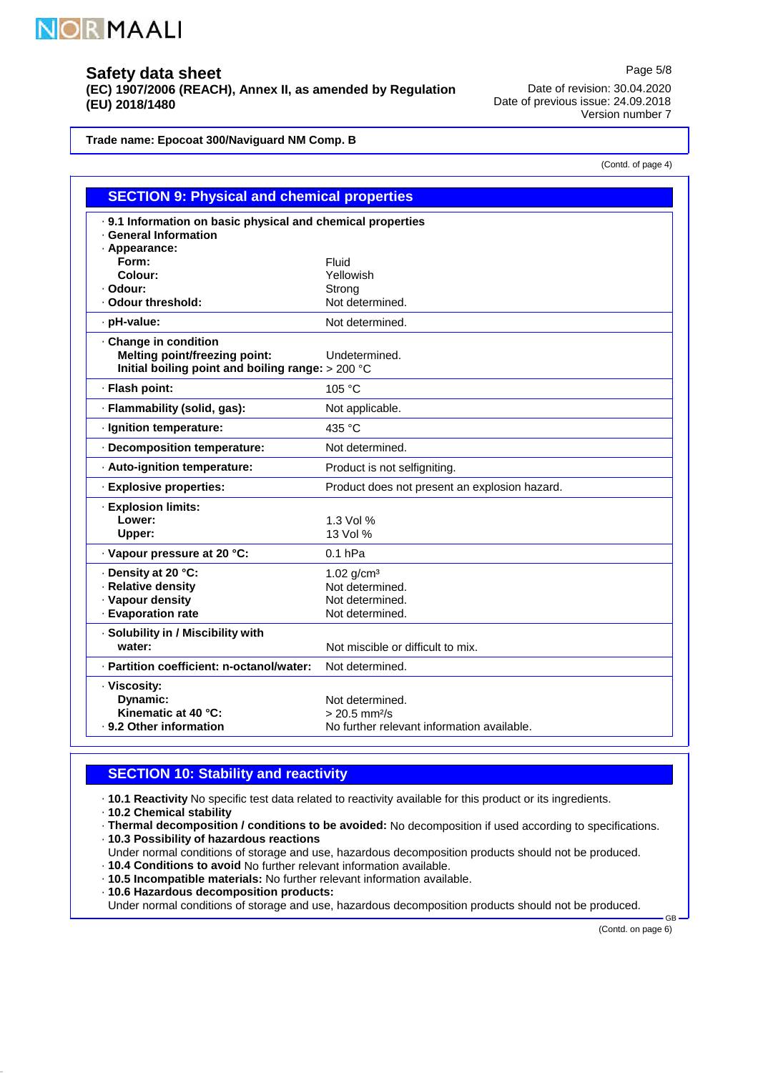

**(EC) 1907/2006 (REACH), Annex II, as amended by Regulation (EU) 2018/1480**

Date of revision: 30.04.2020 Date of previous issue: 24.09.2018 Version number 7

Page 5/8

(Contd. of page 4)

**Trade name: Epocoat 300/Naviguard NM Comp. B**

| <b>SECTION 9: Physical and chemical properties</b>                                                                 |                                                                                              |  |
|--------------------------------------------------------------------------------------------------------------------|----------------------------------------------------------------------------------------------|--|
| . 9.1 Information on basic physical and chemical properties<br>· General Information                               |                                                                                              |  |
| · Appearance:<br>Form:                                                                                             | Fluid                                                                                        |  |
| Colour:                                                                                                            | Yellowish                                                                                    |  |
| · Odour:                                                                                                           | Strong                                                                                       |  |
| · Odour threshold:                                                                                                 | Not determined.                                                                              |  |
| · pH-value:                                                                                                        | Not determined.                                                                              |  |
| · Change in condition<br><b>Melting point/freezing point:</b><br>Initial boiling point and boiling range: > 200 °C | Undetermined.                                                                                |  |
| · Flash point:                                                                                                     | 105 °C                                                                                       |  |
| · Flammability (solid, gas):                                                                                       | Not applicable.                                                                              |  |
| · Ignition temperature:                                                                                            | 435 °C                                                                                       |  |
| · Decomposition temperature:                                                                                       | Not determined.                                                                              |  |
| · Auto-ignition temperature:                                                                                       | Product is not selfigniting.                                                                 |  |
| · Explosive properties:                                                                                            | Product does not present an explosion hazard.                                                |  |
| · Explosion limits:<br>Lower:<br>Upper:                                                                            | 1.3 Vol %<br>13 Vol %                                                                        |  |
| · Vapour pressure at 20 °C:                                                                                        | $0.1$ hPa                                                                                    |  |
| · Density at 20 °C:<br>· Relative density<br>· Vapour density<br>· Evaporation rate                                | 1.02 $q/cm^3$<br>Not determined.<br>Not determined.<br>Not determined.                       |  |
| · Solubility in / Miscibility with<br>water:                                                                       | Not miscible or difficult to mix.                                                            |  |
| · Partition coefficient: n-octanol/water:                                                                          | Not determined.                                                                              |  |
| · Viscosity:<br>Dynamic:<br>Kinematic at 40 °C:<br>. 9.2 Other information                                         | Not determined.<br>$> 20.5$ mm <sup>2</sup> /s<br>No further relevant information available. |  |

## **SECTION 10: Stability and reactivity**

**10.1 Reactivity** No specific test data related to reactivity available for this product or its ingredients.

**10.2 Chemical stability** ·

**Thermal decomposition / conditions to be avoided:** · No decomposition if used according to specifications.

**10.3 Possibility of hazardous reactions** ·

- Under normal conditions of storage and use, hazardous decomposition products should not be produced.
- **10.4 Conditions to avoid** No further relevant information available. **10.5 Incompatible materials:** · No further relevant information available.
- **10.6 Hazardous decomposition products:** ·

Under normal conditions of storage and use, hazardous decomposition products should not be produced.

(Contd. on page 6)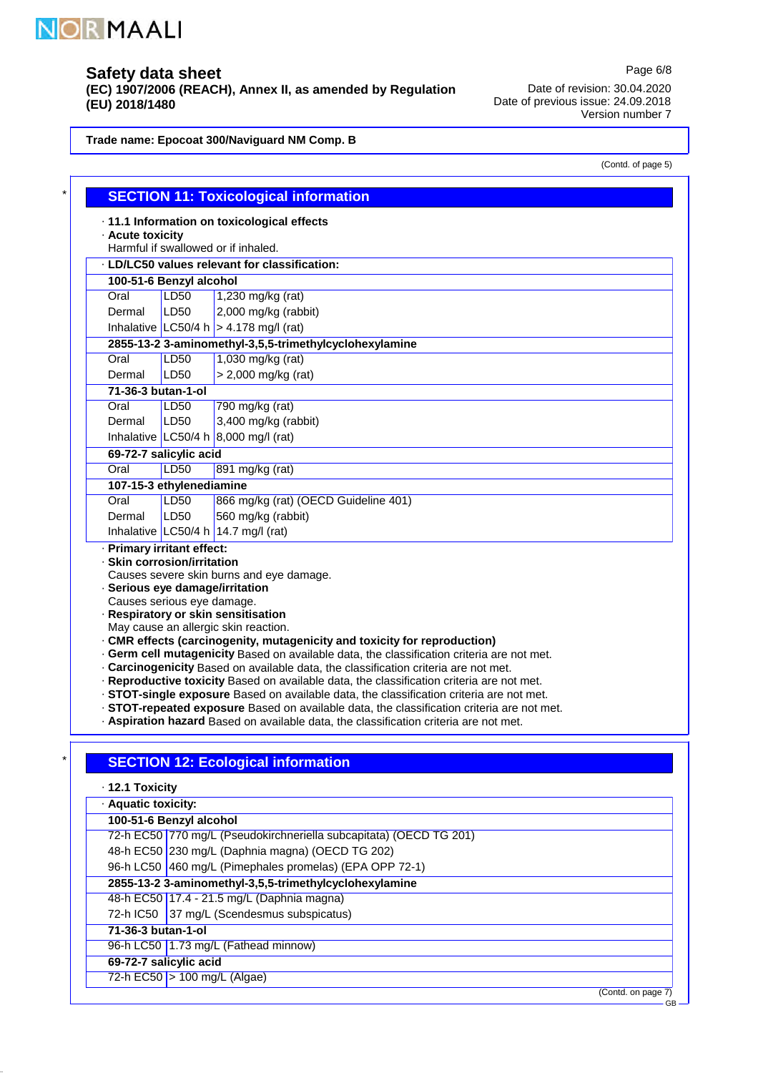

# **Safety data sheet**

**(EC) 1907/2006 (REACH), Annex II, as amended by Regulation (EU) 2018/1480**

Date of revision: 30.04.2020 Date of previous issue: 24.09.2018 Version number 7

**Trade name: Epocoat 300/Naviguard NM Comp. B**

| (Contd. of page 5) |  |  |
|--------------------|--|--|
|--------------------|--|--|

 $-$ GB

Page 6/8

|                                                                                                                            |                                     | <b>SECTION 11: Toxicological information</b>                                                                                                                                                                                                                                                                                                                                                                                                                                                                                                                                                                                                                                                                                                                              |  |
|----------------------------------------------------------------------------------------------------------------------------|-------------------------------------|---------------------------------------------------------------------------------------------------------------------------------------------------------------------------------------------------------------------------------------------------------------------------------------------------------------------------------------------------------------------------------------------------------------------------------------------------------------------------------------------------------------------------------------------------------------------------------------------------------------------------------------------------------------------------------------------------------------------------------------------------------------------------|--|
| · Acute toxicity                                                                                                           |                                     | · 11.1 Information on toxicological effects                                                                                                                                                                                                                                                                                                                                                                                                                                                                                                                                                                                                                                                                                                                               |  |
|                                                                                                                            | Harmful if swallowed or if inhaled. |                                                                                                                                                                                                                                                                                                                                                                                                                                                                                                                                                                                                                                                                                                                                                                           |  |
|                                                                                                                            |                                     | . LD/LC50 values relevant for classification:                                                                                                                                                                                                                                                                                                                                                                                                                                                                                                                                                                                                                                                                                                                             |  |
| 100-51-6 Benzyl alcohol                                                                                                    |                                     |                                                                                                                                                                                                                                                                                                                                                                                                                                                                                                                                                                                                                                                                                                                                                                           |  |
| Oral                                                                                                                       | <b>LD50</b>                         | 1,230 mg/kg (rat)                                                                                                                                                                                                                                                                                                                                                                                                                                                                                                                                                                                                                                                                                                                                                         |  |
| Dermal                                                                                                                     | LD50                                | 2,000 mg/kg (rabbit)                                                                                                                                                                                                                                                                                                                                                                                                                                                                                                                                                                                                                                                                                                                                                      |  |
|                                                                                                                            |                                     | Inhalative LC50/4 h $>$ 4.178 mg/l (rat)                                                                                                                                                                                                                                                                                                                                                                                                                                                                                                                                                                                                                                                                                                                                  |  |
|                                                                                                                            |                                     | 2855-13-2 3-aminomethyl-3,5,5-trimethylcyclohexylamine                                                                                                                                                                                                                                                                                                                                                                                                                                                                                                                                                                                                                                                                                                                    |  |
| Oral                                                                                                                       | <b>LD50</b>                         | 1,030 mg/kg (rat)                                                                                                                                                                                                                                                                                                                                                                                                                                                                                                                                                                                                                                                                                                                                                         |  |
| Dermal                                                                                                                     | LD50                                | > 2,000 mg/kg (rat)                                                                                                                                                                                                                                                                                                                                                                                                                                                                                                                                                                                                                                                                                                                                                       |  |
| 71-36-3 butan-1-ol                                                                                                         |                                     |                                                                                                                                                                                                                                                                                                                                                                                                                                                                                                                                                                                                                                                                                                                                                                           |  |
| Oral                                                                                                                       | <b>LD50</b>                         | 790 mg/kg (rat)                                                                                                                                                                                                                                                                                                                                                                                                                                                                                                                                                                                                                                                                                                                                                           |  |
| Dermal                                                                                                                     | LD50                                | 3,400 mg/kg (rabbit)                                                                                                                                                                                                                                                                                                                                                                                                                                                                                                                                                                                                                                                                                                                                                      |  |
|                                                                                                                            |                                     | Inhalative LC50/4 h $8,000$ mg/l (rat)                                                                                                                                                                                                                                                                                                                                                                                                                                                                                                                                                                                                                                                                                                                                    |  |
| 69-72-7 salicylic acid                                                                                                     |                                     |                                                                                                                                                                                                                                                                                                                                                                                                                                                                                                                                                                                                                                                                                                                                                                           |  |
| Oral                                                                                                                       | LD <sub>50</sub>                    | 891 mg/kg (rat)                                                                                                                                                                                                                                                                                                                                                                                                                                                                                                                                                                                                                                                                                                                                                           |  |
| 107-15-3 ethylenediamine                                                                                                   |                                     |                                                                                                                                                                                                                                                                                                                                                                                                                                                                                                                                                                                                                                                                                                                                                                           |  |
| Oral                                                                                                                       | LD <sub>50</sub>                    | 866 mg/kg (rat) (OECD Guideline 401)                                                                                                                                                                                                                                                                                                                                                                                                                                                                                                                                                                                                                                                                                                                                      |  |
| Dermal                                                                                                                     | LD50                                | 560 mg/kg (rabbit)                                                                                                                                                                                                                                                                                                                                                                                                                                                                                                                                                                                                                                                                                                                                                        |  |
|                                                                                                                            |                                     | Inhalative $LC50/4 h$ 14.7 mg/l (rat)                                                                                                                                                                                                                                                                                                                                                                                                                                                                                                                                                                                                                                                                                                                                     |  |
| · Primary irritant effect:<br>· Skin corrosion/irritation<br>· Serious eye damage/irritation<br>Causes serious eye damage. |                                     | Causes severe skin burns and eye damage.<br>· Respiratory or skin sensitisation<br>May cause an allergic skin reaction.<br>· CMR effects (carcinogenity, mutagenicity and toxicity for reproduction)<br>. Germ cell mutagenicity Based on available data, the classification criteria are not met.<br>. Carcinogenicity Based on available data, the classification criteria are not met.<br>. Reproductive toxicity Based on available data, the classification criteria are not met.<br>. STOT-single exposure Based on available data, the classification criteria are not met.<br>· STOT-repeated exposure Based on available data, the classification criteria are not met.<br>· Aspiration hazard Based on available data, the classification criteria are not met. |  |
|                                                                                                                            |                                     | <b>SECTION 12: Ecological information</b>                                                                                                                                                                                                                                                                                                                                                                                                                                                                                                                                                                                                                                                                                                                                 |  |

**12.1 Toxicity** ·

\*

| · Aquatic toxicity:                                    |                                                                    |  |
|--------------------------------------------------------|--------------------------------------------------------------------|--|
| 100-51-6 Benzyl alcohol                                |                                                                    |  |
|                                                        | 72-h EC50 770 mg/L (Pseudokirchneriella subcapitata) (OECD TG 201) |  |
|                                                        | 48-h EC50 230 mg/L (Daphnia magna) (OECD TG 202)                   |  |
|                                                        | 96-h LC50 460 mg/L (Pimephales promelas) (EPA OPP 72-1)            |  |
| 2855-13-2 3-aminomethyl-3,5,5-trimethylcyclohexylamine |                                                                    |  |
|                                                        | 48-h EC50 17.4 - 21.5 mg/L (Daphnia magna)                         |  |
|                                                        | 72-h IC50 37 mg/L (Scendesmus subspicatus)                         |  |
| 71-36-3 butan-1-ol                                     |                                                                    |  |
|                                                        | 96-h LC50 1.73 mg/L (Fathead minnow)                               |  |
| 69-72-7 salicylic acid                                 |                                                                    |  |
|                                                        | 72-h EC50 $> 100$ mg/L (Algae)                                     |  |
|                                                        | (Contd. on page 7)<br>$\sim$                                       |  |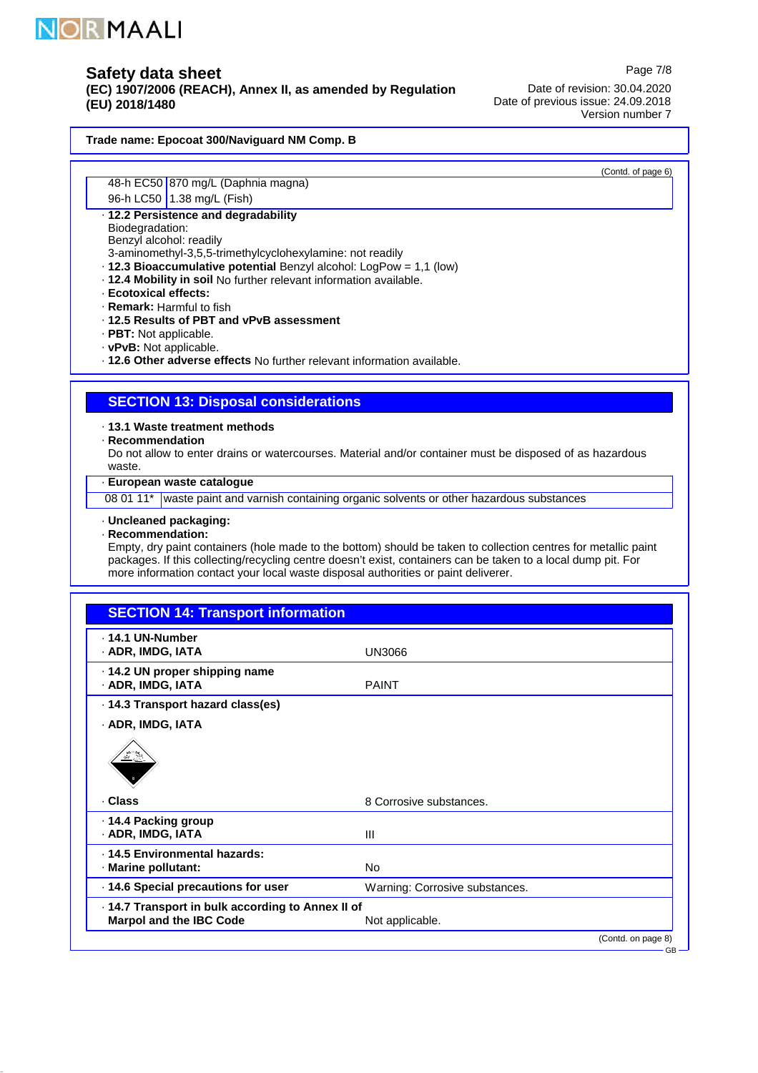

**(EC) 1907/2006 (REACH), Annex II, as amended by Regulation (EU) 2018/1480**

Date of revision: 30.04.2020 Date of previous issue: 24.09.2018 Version number 7

**Trade name: Epocoat 300/Naviguard NM Comp. B**

48-h EC50 870 mg/L (Daphnia magna)

96-h LC50 1.38 mg/L (Fish)

**12.2 Persistence and degradability** ·

Biodegradation: Benzyl alcohol: readily

3-aminomethyl-3,5,5-trimethylcyclohexylamine: not readily

- **12.3 Bioaccumulative potential** Benzyl alcohol: LogPow = 1,1 (low)
- **12.4 Mobility in soil** · No further relevant information available.
- **Ecotoxical effects:** ·
- **Remark:** · Harmful to fish
- **12.5 Results of PBT and vPvB assessment** ·
- · PBT: Not applicable.
- · vPvB: Not applicable.

**12.6 Other adverse effects** · No further relevant information available.

# **SECTION 13: Disposal considerations**

**13.1 Waste treatment methods** ·

**Recommendation** ·

Do not allow to enter drains or watercourses. Material and/or container must be disposed of as hazardous waste.

**European waste catalogue** ·

08 01 11\* waste paint and varnish containing organic solvents or other hazardous substances

**Uncleaned packaging:** ·

**Recommendation:** ·

Empty, dry paint containers (hole made to the bottom) should be taken to collection centres for metallic paint packages. If this collecting/recycling centre doesn't exist, containers can be taken to a local dump pit. For more information contact your local waste disposal authorities or paint deliverer.

# **SECTION 14: Transport information**

| $\cdot$ 14.1 UN-Number<br>· ADR, IMDG, IATA                                         | UN3066                         |                    |
|-------------------------------------------------------------------------------------|--------------------------------|--------------------|
| · 14.2 UN proper shipping name<br>· ADR, IMDG, IATA                                 | <b>PAINT</b>                   |                    |
| . 14.3 Transport hazard class(es)                                                   |                                |                    |
| · ADR, IMDG, IATA                                                                   |                                |                    |
| $\frac{\sqrt{2}}{2}$                                                                |                                |                    |
| · Class                                                                             | 8 Corrosive substances.        |                    |
| · 14.4 Packing group<br>· ADR, IMDG, IATA                                           | $\mathbf{III}$                 |                    |
| · 14.5 Environmental hazards:<br>· Marine pollutant:                                | No.                            |                    |
| · 14.6 Special precautions for user                                                 | Warning: Corrosive substances. |                    |
| · 14.7 Transport in bulk according to Annex II of<br><b>Marpol and the IBC Code</b> | Not applicable.                |                    |
|                                                                                     |                                | (Contd. on page 8) |
|                                                                                     |                                | $GB -$             |

Page 7/8

(Contd. of page 6)